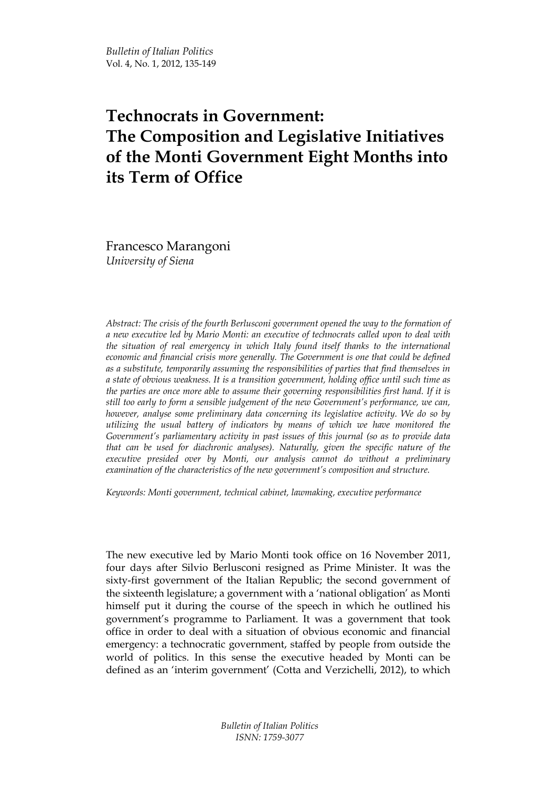Bulletin of Italian Politics Vol. 4, No. 1, 2012, 135-149

# Technocrats in Government: The Composition and Legislative Initiatives of the Monti Government Eight Months into its Term of Office

Francesco Marangoni University of Siena

Abstract: The crisis of the fourth Berlusconi government opened the way to the formation of a new executive led by Mario Monti: an executive of technocrats called upon to deal with the situation of real emergency in which Italy found itself thanks to the international economic and financial crisis more generally. The Government is one that could be defined as a substitute, temporarily assuming the responsibilities of parties that find themselves in a state of obvious weakness. It is a transition government, holding office until such time as the parties are once more able to assume their governing responsibilities first hand. If it is still too early to form a sensible judgement of the new Government's performance, we can, however, analyse some preliminary data concerning its legislative activity. We do so by utilizing the usual battery of indicators by means of which we have monitored the Government's parliamentary activity in past issues of this journal (so as to provide data that can be used for diachronic analyses). Naturally, given the specific nature of the executive presided over by Monti, our analysis cannot do without a preliminary examination of the characteristics of the new government's composition and structure.

Keywords: Monti government, technical cabinet, lawmaking, executive performance

The new executive led by Mario Monti took office on 16 November 2011, four days after Silvio Berlusconi resigned as Prime Minister. It was the sixty-first government of the Italian Republic; the second government of the sixteenth legislature; a government with a 'national obligation' as Monti himself put it during the course of the speech in which he outlined his government's programme to Parliament. It was a government that took office in order to deal with a situation of obvious economic and financial emergency: a technocratic government, staffed by people from outside the world of politics. In this sense the executive headed by Monti can be defined as an 'interim government' (Cotta and Verzichelli, 2012), to which

> Bulletin of Italian Politics ISNN: 1759-3077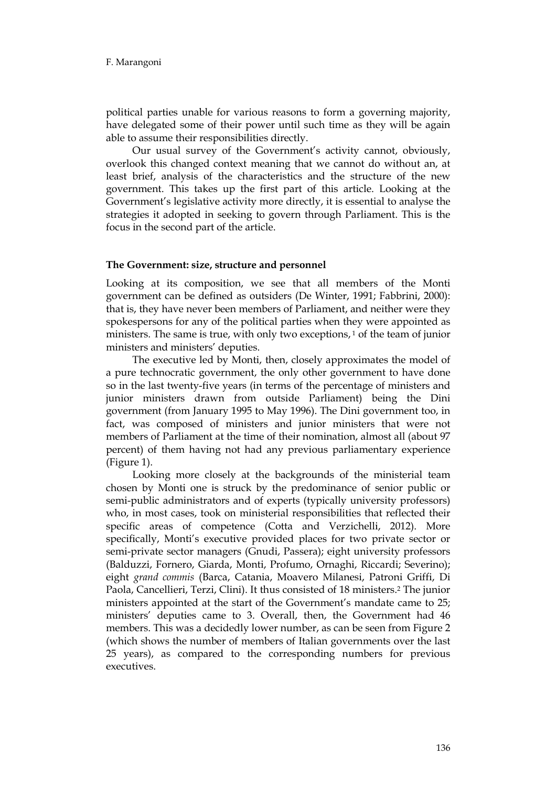political parties unable for various reasons to form a governing majority, have delegated some of their power until such time as they will be again able to assume their responsibilities directly.

Our usual survey of the Government's activity cannot, obviously, overlook this changed context meaning that we cannot do without an, at least brief, analysis of the characteristics and the structure of the new government. This takes up the first part of this article. Looking at the Government's legislative activity more directly, it is essential to analyse the strategies it adopted in seeking to govern through Parliament. This is the focus in the second part of the article.

## The Government: size, structure and personnel

Looking at its composition, we see that all members of the Monti government can be defined as outsiders (De Winter, 1991; Fabbrini, 2000): that is, they have never been members of Parliament, and neither were they spokespersons for any of the political parties when they were appointed as ministers. The same is true, with only two exceptions,<sup>1</sup> of the team of junior ministers and ministers' deputies.

The executive led by Monti, then, closely approximates the model of a pure technocratic government, the only other government to have done so in the last twenty-five years (in terms of the percentage of ministers and junior ministers drawn from outside Parliament) being the Dini government (from January 1995 to May 1996). The Dini government too, in fact, was composed of ministers and junior ministers that were not members of Parliament at the time of their nomination, almost all (about 97 percent) of them having not had any previous parliamentary experience (Figure 1).

Looking more closely at the backgrounds of the ministerial team chosen by Monti one is struck by the predominance of senior public or semi-public administrators and of experts (typically university professors) who, in most cases, took on ministerial responsibilities that reflected their specific areas of competence (Cotta and Verzichelli, 2012). More specifically, Monti's executive provided places for two private sector or semi-private sector managers (Gnudi, Passera); eight university professors (Balduzzi, Fornero, Giarda, Monti, Profumo, Ornaghi, Riccardi; Severino); eight grand commis (Barca, Catania, Moavero Milanesi, Patroni Griffi, Di Paola, Cancellieri, Terzi, Clini). It thus consisted of 18 ministers.<sup>2</sup> The junior ministers appointed at the start of the Government's mandate came to 25; ministers' deputies came to 3. Overall, then, the Government had 46 members. This was a decidedly lower number, as can be seen from Figure 2 (which shows the number of members of Italian governments over the last 25 years), as compared to the corresponding numbers for previous executives.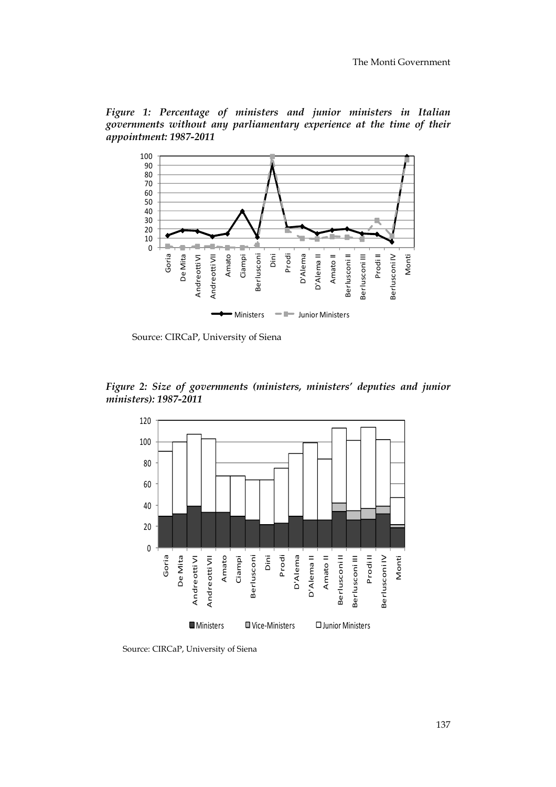Figure 1: Percentage of ministers and junior ministers in Italian governments without any parliamentary experience at the time of their appointment: 1987-2011



Source: CIRCaP, University of Siena

Figure 2: Size of governments (ministers, ministers' deputies and junior ministers): 1987-2011



Source: CIRCaP, University of Siena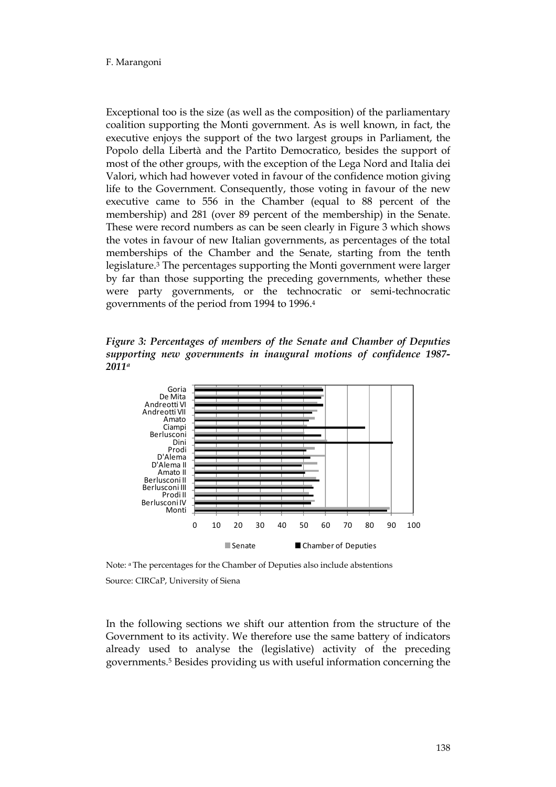#### F. Marangoni

Exceptional too is the size (as well as the composition) of the parliamentary coalition supporting the Monti government. As is well known, in fact, the executive enjoys the support of the two largest groups in Parliament, the Popolo della Libertà and the Partito Democratico, besides the support of most of the other groups, with the exception of the Lega Nord and Italia dei Valori, which had however voted in favour of the confidence motion giving life to the Government. Consequently, those voting in favour of the new executive came to 556 in the Chamber (equal to 88 percent of the membership) and 281 (over 89 percent of the membership) in the Senate. These were record numbers as can be seen clearly in Figure 3 which shows the votes in favour of new Italian governments, as percentages of the total memberships of the Chamber and the Senate, starting from the tenth legislature.3 The percentages supporting the Monti government were larger by far than those supporting the preceding governments, whether these were party governments, or the technocratic or semi-technocratic governments of the period from 1994 to 1996.<sup>4</sup>

Figure 3: Percentages of members of the Senate and Chamber of Deputies supporting new governments in inaugural motions of confidence 1987- 2011<sup>a</sup>



Note: a The percentages for the Chamber of Deputies also include abstentions

Source: CIRCaP, University of Siena

In the following sections we shift our attention from the structure of the Government to its activity. We therefore use the same battery of indicators already used to analyse the (legislative) activity of the preceding governments.5 Besides providing us with useful information concerning the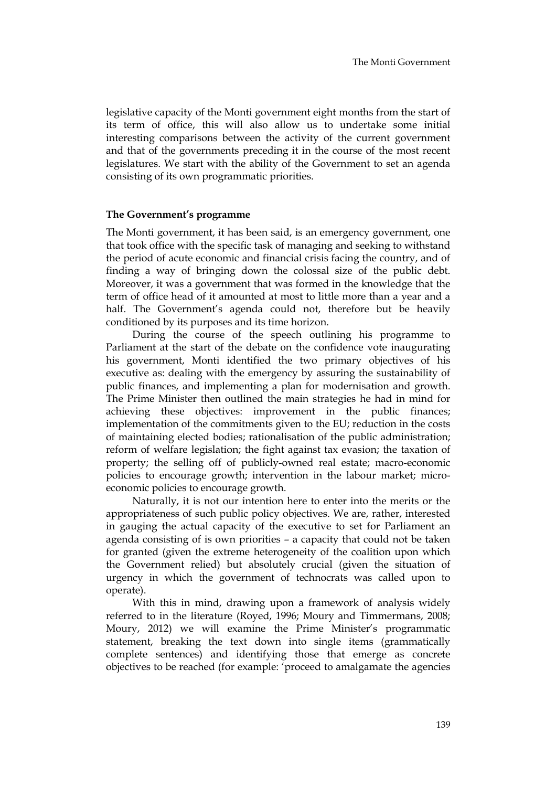legislative capacity of the Monti government eight months from the start of its term of office, this will also allow us to undertake some initial interesting comparisons between the activity of the current government and that of the governments preceding it in the course of the most recent legislatures. We start with the ability of the Government to set an agenda consisting of its own programmatic priorities.

## The Government's programme

The Monti government, it has been said, is an emergency government, one that took office with the specific task of managing and seeking to withstand the period of acute economic and financial crisis facing the country, and of finding a way of bringing down the colossal size of the public debt. Moreover, it was a government that was formed in the knowledge that the term of office head of it amounted at most to little more than a year and a half. The Government's agenda could not, therefore but be heavily conditioned by its purposes and its time horizon.

During the course of the speech outlining his programme to Parliament at the start of the debate on the confidence vote inaugurating his government, Monti identified the two primary objectives of his executive as: dealing with the emergency by assuring the sustainability of public finances, and implementing a plan for modernisation and growth. The Prime Minister then outlined the main strategies he had in mind for achieving these objectives: improvement in the public finances; implementation of the commitments given to the EU; reduction in the costs of maintaining elected bodies; rationalisation of the public administration; reform of welfare legislation; the fight against tax evasion; the taxation of property; the selling off of publicly-owned real estate; macro-economic policies to encourage growth; intervention in the labour market; microeconomic policies to encourage growth.

Naturally, it is not our intention here to enter into the merits or the appropriateness of such public policy objectives. We are, rather, interested in gauging the actual capacity of the executive to set for Parliament an agenda consisting of is own priorities – a capacity that could not be taken for granted (given the extreme heterogeneity of the coalition upon which the Government relied) but absolutely crucial (given the situation of urgency in which the government of technocrats was called upon to operate).

With this in mind, drawing upon a framework of analysis widely referred to in the literature (Royed, 1996; Moury and Timmermans, 2008; Moury, 2012) we will examine the Prime Minister's programmatic statement, breaking the text down into single items (grammatically complete sentences) and identifying those that emerge as concrete objectives to be reached (for example: 'proceed to amalgamate the agencies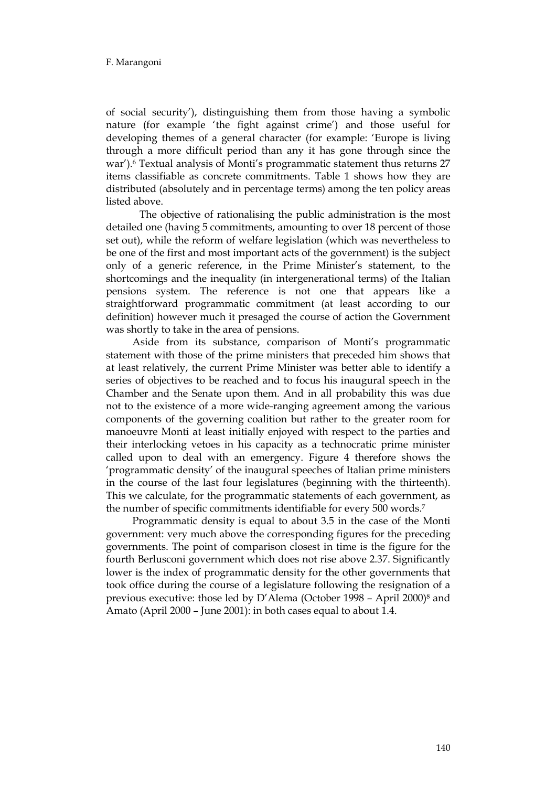of social security'), distinguishing them from those having a symbolic nature (for example 'the fight against crime') and those useful for developing themes of a general character (for example: 'Europe is living through a more difficult period than any it has gone through since the war').6 Textual analysis of Monti's programmatic statement thus returns 27 items classifiable as concrete commitments. Table 1 shows how they are distributed (absolutely and in percentage terms) among the ten policy areas listed above.

 The objective of rationalising the public administration is the most detailed one (having 5 commitments, amounting to over 18 percent of those set out), while the reform of welfare legislation (which was nevertheless to be one of the first and most important acts of the government) is the subject only of a generic reference, in the Prime Minister's statement, to the shortcomings and the inequality (in intergenerational terms) of the Italian pensions system. The reference is not one that appears like a straightforward programmatic commitment (at least according to our definition) however much it presaged the course of action the Government was shortly to take in the area of pensions.

Aside from its substance, comparison of Monti's programmatic statement with those of the prime ministers that preceded him shows that at least relatively, the current Prime Minister was better able to identify a series of objectives to be reached and to focus his inaugural speech in the Chamber and the Senate upon them. And in all probability this was due not to the existence of a more wide-ranging agreement among the various components of the governing coalition but rather to the greater room for manoeuvre Monti at least initially enjoyed with respect to the parties and their interlocking vetoes in his capacity as a technocratic prime minister called upon to deal with an emergency. Figure 4 therefore shows the 'programmatic density' of the inaugural speeches of Italian prime ministers in the course of the last four legislatures (beginning with the thirteenth). This we calculate, for the programmatic statements of each government, as the number of specific commitments identifiable for every 500 words.<sup>7</sup>

Programmatic density is equal to about 3.5 in the case of the Monti government: very much above the corresponding figures for the preceding governments. The point of comparison closest in time is the figure for the fourth Berlusconi government which does not rise above 2.37. Significantly lower is the index of programmatic density for the other governments that took office during the course of a legislature following the resignation of a previous executive: those led by D'Alema (October 1998 – April 2000)8 and Amato (April 2000 – June 2001): in both cases equal to about 1.4.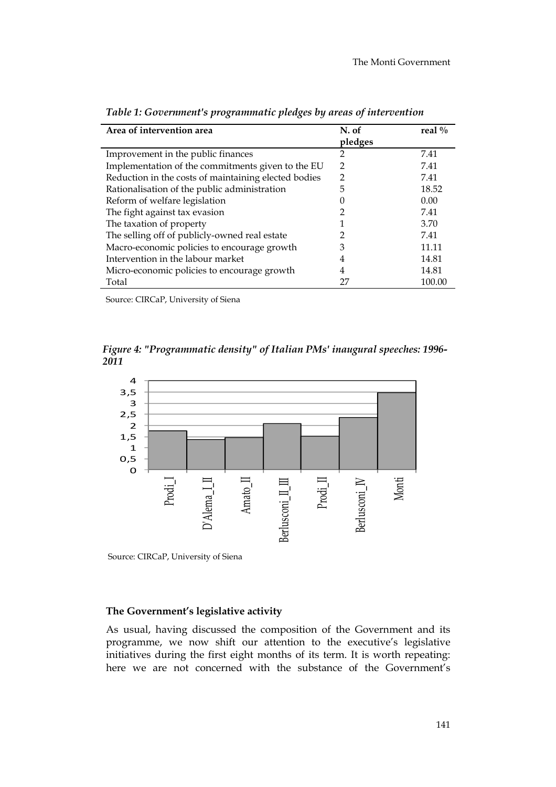| Area of intervention area                            | N. of         | real $\%$ |
|------------------------------------------------------|---------------|-----------|
|                                                      | pledges       |           |
| Improvement in the public finances                   | 2             | 7.41      |
| Implementation of the commitments given to the EU    | $\mathcal{D}$ | 7.41      |
| Reduction in the costs of maintaining elected bodies | 2             | 7.41      |
| Rationalisation of the public administration         | 5             | 18.52     |
| Reform of welfare legislation                        |               | 0.00      |
| The fight against tax evasion                        |               | 7.41      |
| The taxation of property                             |               | 3.70      |
| The selling off of publicly-owned real estate        |               | 7.41      |
| Macro-economic policies to encourage growth          | 3             | 11.11     |
| Intervention in the labour market                    | 4             | 14.81     |
| Micro-economic policies to encourage growth          | 4             | 14.81     |
| Total                                                | 27            | 100.00    |

Table 1: Government's programmatic pledges by areas of intervention

Source: CIRCaP, University of Siena

 Figure 4: "Programmatic density" of Italian PMs' inaugural speeches: 1996- 2011



Source: CIRCaP, University of Siena

## The Government's legislative activity

As usual, having discussed the composition of the Government and its programme, we now shift our attention to the executive's legislative initiatives during the first eight months of its term. It is worth repeating: here we are not concerned with the substance of the Government's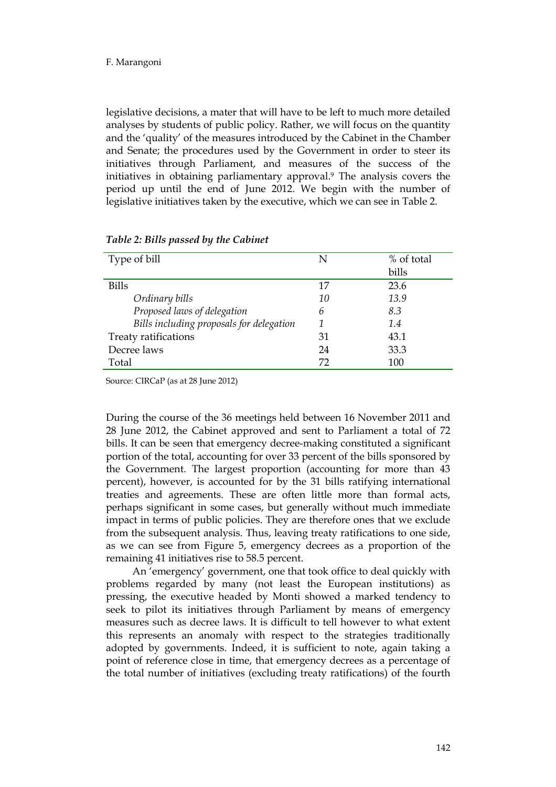legislative decisions, a mater that will have to be left to much more detailed analyses by students of public policy. Rather, we will focus on the quantity and the 'quality' of the measures introduced by the Cabinet in the Chamber and Senate; the procedures used by the Government in order to steer its initiatives through Parliament, and measures of the success of the initiatives in obtaining parliamentary approval.9 The analysis covers the period up until the end of June 2012. We begin with the number of legislative initiatives taken by the executive, which we can see in Table 2.

| Type of bill                             | N  | % of total |
|------------------------------------------|----|------------|
|                                          |    | bills      |
| <b>Bills</b>                             | 17 | 23.6       |
| Ordinary bills                           | 10 | 13.9       |
| Proposed laws of delegation              | 6  | 8.3        |
| Bills including proposals for delegation |    | 1.4        |
| Treaty ratifications                     | 31 | 43.1       |
| Decree laws                              | 24 | 33.3       |
| Total                                    | 72 | 100        |

Table 2: Bills passed by the Cabinet

Source: CIRCaP (as at 28 June 2012)

During the course of the 36 meetings held between 16 November 2011 and 28 June 2012, the Cabinet approved and sent to Parliament a total of 72 bills. It can be seen that emergency decree-making constituted a significant portion of the total, accounting for over 33 percent of the bills sponsored by the Government. The largest proportion (accounting for more than 43 percent), however, is accounted for by the 31 bills ratifying international treaties and agreements. These are often little more than formal acts, perhaps significant in some cases, but generally without much immediate impact in terms of public policies. They are therefore ones that we exclude from the subsequent analysis. Thus, leaving treaty ratifications to one side, as we can see from Figure 5, emergency decrees as a proportion of the remaining 41 initiatives rise to 58.5 percent.

An 'emergency' government, one that took office to deal quickly with problems regarded by many (not least the European institutions) as pressing, the executive headed by Monti showed a marked tendency to seek to pilot its initiatives through Parliament by means of emergency measures such as decree laws. It is difficult to tell however to what extent this represents an anomaly with respect to the strategies traditionally adopted by governments. Indeed, it is sufficient to note, again taking a point of reference close in time, that emergency decrees as a percentage of the total number of initiatives (excluding treaty ratifications) of the fourth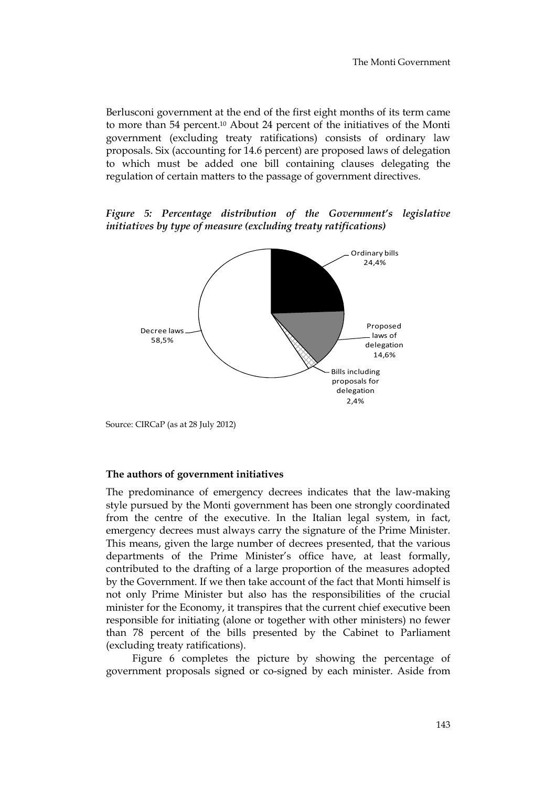Berlusconi government at the end of the first eight months of its term came to more than 54 percent.10 About 24 percent of the initiatives of the Monti government (excluding treaty ratifications) consists of ordinary law proposals. Six (accounting for 14.6 percent) are proposed laws of delegation to which must be added one bill containing clauses delegating the regulation of certain matters to the passage of government directives.

Figure 5: Percentage distribution of the Government's legislative initiatives by type of measure (excluding treaty ratifications)



Source: CIRCaP (as at 28 July 2012)

#### The authors of government initiatives

The predominance of emergency decrees indicates that the law-making style pursued by the Monti government has been one strongly coordinated from the centre of the executive. In the Italian legal system, in fact, emergency decrees must always carry the signature of the Prime Minister. This means, given the large number of decrees presented, that the various departments of the Prime Minister's office have, at least formally, contributed to the drafting of a large proportion of the measures adopted by the Government. If we then take account of the fact that Monti himself is not only Prime Minister but also has the responsibilities of the crucial minister for the Economy, it transpires that the current chief executive been responsible for initiating (alone or together with other ministers) no fewer than 78 percent of the bills presented by the Cabinet to Parliament (excluding treaty ratifications).

Figure 6 completes the picture by showing the percentage of government proposals signed or co-signed by each minister. Aside from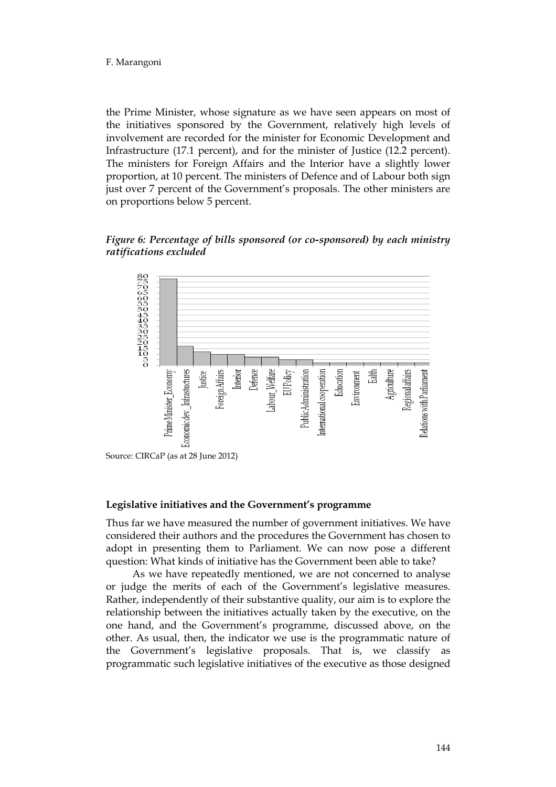#### F. Marangoni

the Prime Minister, whose signature as we have seen appears on most of the initiatives sponsored by the Government, relatively high levels of involvement are recorded for the minister for Economic Development and Infrastructure (17.1 percent), and for the minister of Justice (12.2 percent). The ministers for Foreign Affairs and the Interior have a slightly lower proportion, at 10 percent. The ministers of Defence and of Labour both sign just over 7 percent of the Government's proposals. The other ministers are on proportions below 5 percent.

Figure 6: Percentage of bills sponsored (or co-sponsored) by each ministry ratifications excluded



Source: CIRCaP (as at 28 June 2012)

#### Legislative initiatives and the Government's programme

Thus far we have measured the number of government initiatives. We have considered their authors and the procedures the Government has chosen to adopt in presenting them to Parliament. We can now pose a different question: What kinds of initiative has the Government been able to take?

As we have repeatedly mentioned, we are not concerned to analyse or judge the merits of each of the Government's legislative measures. Rather, independently of their substantive quality, our aim is to explore the relationship between the initiatives actually taken by the executive, on the one hand, and the Government's programme, discussed above, on the other. As usual, then, the indicator we use is the programmatic nature of the Government's legislative proposals. That is, we classify as programmatic such legislative initiatives of the executive as those designed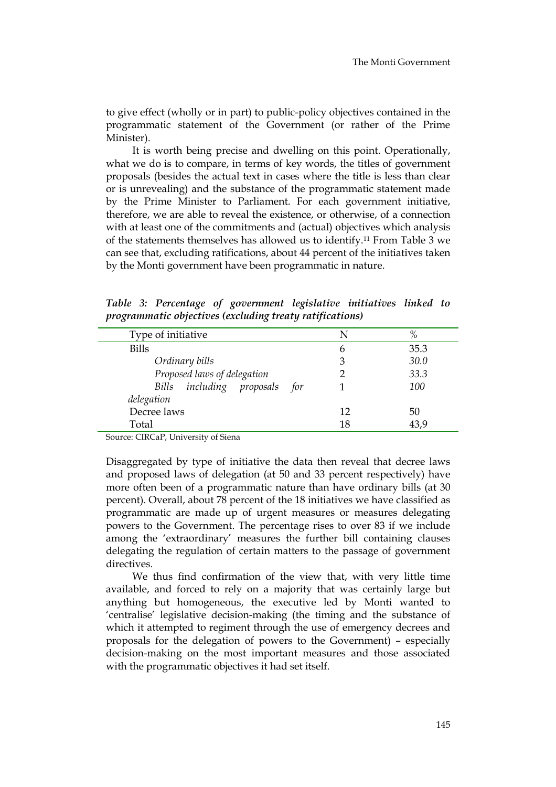to give effect (wholly or in part) to public-policy objectives contained in the programmatic statement of the Government (or rather of the Prime Minister).

It is worth being precise and dwelling on this point. Operationally, what we do is to compare, in terms of key words, the titles of government proposals (besides the actual text in cases where the title is less than clear or is unrevealing) and the substance of the programmatic statement made by the Prime Minister to Parliament. For each government initiative, therefore, we are able to reveal the existence, or otherwise, of a connection with at least one of the commitments and (actual) objectives which analysis of the statements themselves has allowed us to identify.11 From Table 3 we can see that, excluding ratifications, about 44 percent of the initiatives taken by the Monti government have been programmatic in nature.

Table 3: Percentage of government legislative initiatives linked to programmatic objectives (excluding treaty ratifications)

| Type of initiative            | N  | $\%$ |
|-------------------------------|----|------|
| <b>Bills</b>                  | 6  | 35.3 |
| Ordinary bills                | 3  | 30.0 |
| Proposed laws of delegation   |    | 33.3 |
| Bills including proposals for |    | 100  |
| delegation                    |    |      |
| Decree laws                   | 12 | 50   |
| Total                         |    | 43,9 |

Source: CIRCaP, University of Siena

Disaggregated by type of initiative the data then reveal that decree laws and proposed laws of delegation (at 50 and 33 percent respectively) have more often been of a programmatic nature than have ordinary bills (at 30 percent). Overall, about 78 percent of the 18 initiatives we have classified as programmatic are made up of urgent measures or measures delegating powers to the Government. The percentage rises to over 83 if we include among the 'extraordinary' measures the further bill containing clauses delegating the regulation of certain matters to the passage of government directives.

We thus find confirmation of the view that, with very little time available, and forced to rely on a majority that was certainly large but anything but homogeneous, the executive led by Monti wanted to 'centralise' legislative decision-making (the timing and the substance of which it attempted to regiment through the use of emergency decrees and proposals for the delegation of powers to the Government) – especially decision-making on the most important measures and those associated with the programmatic objectives it had set itself.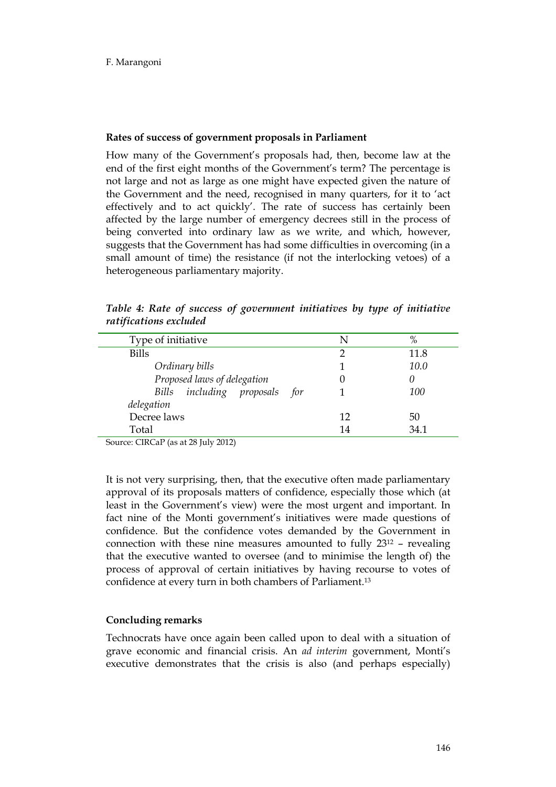## Rates of success of government proposals in Parliament

How many of the Government's proposals had, then, become law at the end of the first eight months of the Government's term? The percentage is not large and not as large as one might have expected given the nature of the Government and the need, recognised in many quarters, for it to 'act effectively and to act quickly'. The rate of success has certainly been affected by the large number of emergency decrees still in the process of being converted into ordinary law as we write, and which, however, suggests that the Government has had some difficulties in overcoming (in a small amount of time) the resistance (if not the interlocking vetoes) of a heterogeneous parliamentary majority.

| Type of initiative            | N  | %    |
|-------------------------------|----|------|
| <b>Bills</b>                  |    | 11.8 |
| Ordinary bills                |    | 10.0 |
| Proposed laws of delegation   |    |      |
| Bills including proposals for |    | 100  |
| delegation                    |    |      |
| Decree laws                   | 12 | 50   |
| Total                         | 14 | 34.1 |

Table 4: Rate of success of government initiatives by type of initiative ratifications excluded

Source: CIRCaP (as at 28 July 2012)

It is not very surprising, then, that the executive often made parliamentary approval of its proposals matters of confidence, especially those which (at least in the Government's view) were the most urgent and important. In fact nine of the Monti government's initiatives were made questions of confidence. But the confidence votes demanded by the Government in connection with these nine measures amounted to fully 2312 – revealing that the executive wanted to oversee (and to minimise the length of) the process of approval of certain initiatives by having recourse to votes of confidence at every turn in both chambers of Parliament.<sup>13</sup>

## Concluding remarks

Technocrats have once again been called upon to deal with a situation of grave economic and financial crisis. An ad interim government, Monti's executive demonstrates that the crisis is also (and perhaps especially)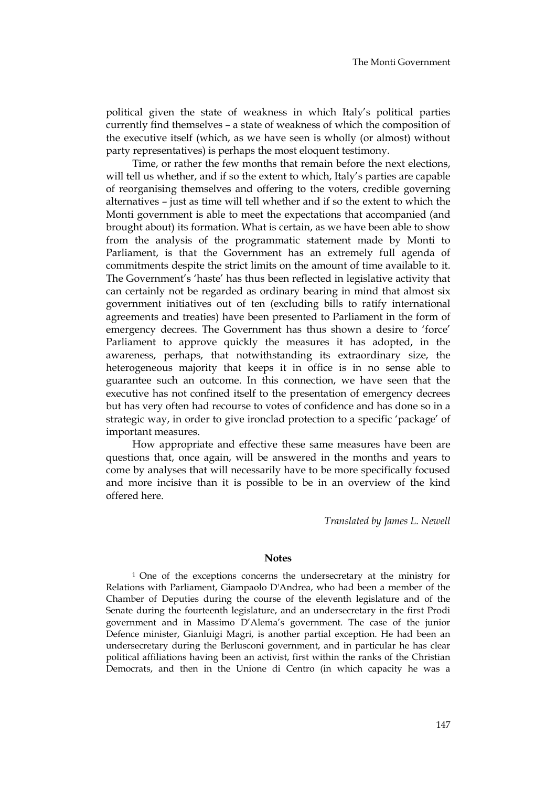political given the state of weakness in which Italy's political parties currently find themselves – a state of weakness of which the composition of the executive itself (which, as we have seen is wholly (or almost) without party representatives) is perhaps the most eloquent testimony.

Time, or rather the few months that remain before the next elections, will tell us whether, and if so the extent to which, Italy's parties are capable of reorganising themselves and offering to the voters, credible governing alternatives – just as time will tell whether and if so the extent to which the Monti government is able to meet the expectations that accompanied (and brought about) its formation. What is certain, as we have been able to show from the analysis of the programmatic statement made by Monti to Parliament, is that the Government has an extremely full agenda of commitments despite the strict limits on the amount of time available to it. The Government's 'haste' has thus been reflected in legislative activity that can certainly not be regarded as ordinary bearing in mind that almost six government initiatives out of ten (excluding bills to ratify international agreements and treaties) have been presented to Parliament in the form of emergency decrees. The Government has thus shown a desire to 'force' Parliament to approve quickly the measures it has adopted, in the awareness, perhaps, that notwithstanding its extraordinary size, the heterogeneous majority that keeps it in office is in no sense able to guarantee such an outcome. In this connection, we have seen that the executive has not confined itself to the presentation of emergency decrees but has very often had recourse to votes of confidence and has done so in a strategic way, in order to give ironclad protection to a specific 'package' of important measures.

How appropriate and effective these same measures have been are questions that, once again, will be answered in the months and years to come by analyses that will necessarily have to be more specifically focused and more incisive than it is possible to be in an overview of the kind offered here.

Translated by James L. Newell

#### **Notes**

1 One of the exceptions concerns the undersecretary at the ministry for Relations with Parliament, Giampaolo D'Andrea, who had been a member of the Chamber of Deputies during the course of the eleventh legislature and of the Senate during the fourteenth legislature, and an undersecretary in the first Prodi government and in Massimo D'Alema's government. The case of the junior Defence minister, Gianluigi Magri, is another partial exception. He had been an undersecretary during the Berlusconi government, and in particular he has clear political affiliations having been an activist, first within the ranks of the Christian Democrats, and then in the Unione di Centro (in which capacity he was a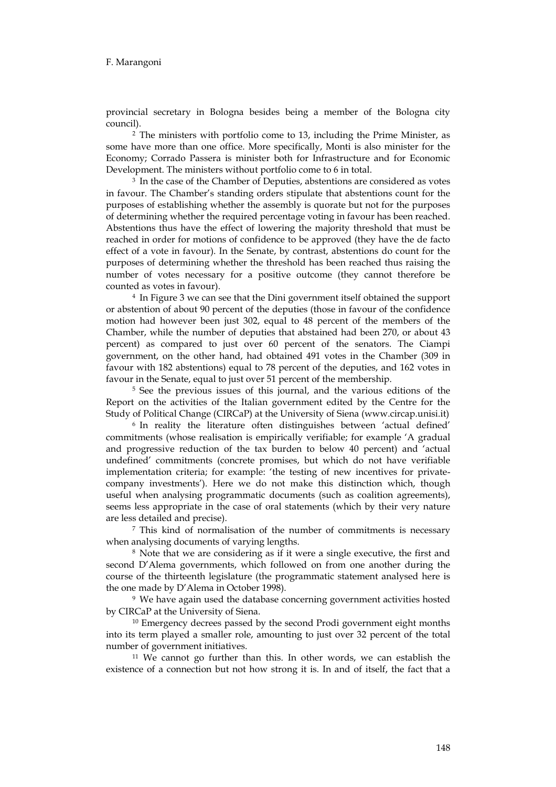provincial secretary in Bologna besides being a member of the Bologna city council).

2 The ministers with portfolio come to 13, including the Prime Minister, as some have more than one office. More specifically, Monti is also minister for the Economy; Corrado Passera is minister both for Infrastructure and for Economic Development. The ministers without portfolio come to 6 in total.

3 In the case of the Chamber of Deputies, abstentions are considered as votes in favour. The Chamber's standing orders stipulate that abstentions count for the purposes of establishing whether the assembly is quorate but not for the purposes of determining whether the required percentage voting in favour has been reached. Abstentions thus have the effect of lowering the majority threshold that must be reached in order for motions of confidence to be approved (they have the de facto effect of a vote in favour). In the Senate, by contrast, abstentions do count for the purposes of determining whether the threshold has been reached thus raising the number of votes necessary for a positive outcome (they cannot therefore be counted as votes in favour).

4 In Figure 3 we can see that the Dini government itself obtained the support or abstention of about 90 percent of the deputies (those in favour of the confidence motion had however been just 302, equal to 48 percent of the members of the Chamber, while the number of deputies that abstained had been 270, or about 43 percent) as compared to just over 60 percent of the senators. The Ciampi government, on the other hand, had obtained 491 votes in the Chamber (309 in favour with 182 abstentions) equal to 78 percent of the deputies, and 162 votes in favour in the Senate, equal to just over 51 percent of the membership.

5 See the previous issues of this journal, and the various editions of the Report on the activities of the Italian government edited by the Centre for the Study of Political Change (CIRCaP) at the University of Siena (www.circap.unisi.it)

6 In reality the literature often distinguishes between 'actual defined' commitments (whose realisation is empirically verifiable; for example 'A gradual and progressive reduction of the tax burden to below 40 percent) and 'actual undefined' commitments (concrete promises, but which do not have verifiable implementation criteria; for example: 'the testing of new incentives for privatecompany investments'). Here we do not make this distinction which, though useful when analysing programmatic documents (such as coalition agreements), seems less appropriate in the case of oral statements (which by their very nature are less detailed and precise).

7 This kind of normalisation of the number of commitments is necessary when analysing documents of varying lengths.

8 Note that we are considering as if it were a single executive, the first and second D'Alema governments, which followed on from one another during the course of the thirteenth legislature (the programmatic statement analysed here is the one made by D'Alema in October 1998).

9 We have again used the database concerning government activities hosted by CIRCaP at the University of Siena.

<sup>10</sup> Emergency decrees passed by the second Prodi government eight months into its term played a smaller role, amounting to just over 32 percent of the total number of government initiatives.

<sup>11</sup> We cannot go further than this. In other words, we can establish the existence of a connection but not how strong it is. In and of itself, the fact that a